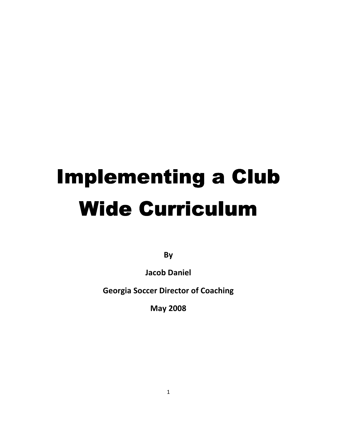# Implementing a Club Wide Curriculum

By

Jacob Daniel

Georgia Soccer Director of Coaching

May 2008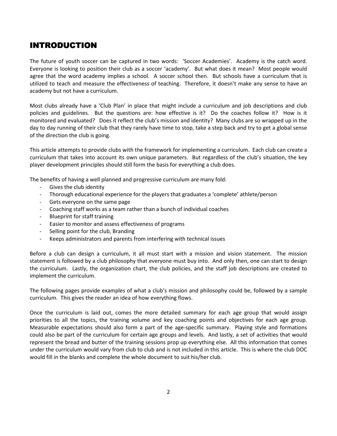## **INTRODUCTION**

The future of youth soccer can be captured in two words: 'Soccer Academies'. Academy is the catch word. Everyone is looking to position their club as a soccer 'academy'. But what does it mean? Most people would agree that the word academy implies a school. A soccer school then. But schools have a curriculum that is utilized to teach and measure the effectiveness of teaching. Therefore, it doesn't make any sense to have an academy but not have a curriculum.

Most clubs already have a 'Club Plan' in place that might include a curriculum and job descriptions and club policies and guidelines. But the questions are: how effective is it? Do the coaches follow it? How is it monitored and evaluated? Does it reflect the club's mission and identity? Many clubs are so wrapped up in the day to day running of their club that they rarely have time to stop, take a step back and try to get a global sense of the direction the club is going.

This article attempts to provide clubs with the framework for implementing a curriculum. Each club can create a curriculum that takes into account its own unique parameters. But regardless of the club's situation, the key player development principles should still form the basis for everything a club does.

The benefits of having a well planned and progressive curriculum are many fold:

- Gives the club identity
- Thorough educational experience for the players that graduates a 'complete' athlete/person
- Gets everyone on the same page
- Coaching staff works as a team rather than a bunch of individual coaches
- Blueprint for staff training
- Easier to monitor and assess effectiveness of programs
- Selling point for the club, Branding
- Keeps administrators and parents from interfering with technical issues

Before a club can design a curriculum, it all must start with a mission and vision statement. The mission statement is followed by a club philosophy that everyone must buy into. And only then, one can start to design the curriculum. Lastly, the organization chart, the club policies, and the staff job descriptions are created to implement the curriculum.

The following pages provide examples of what a club's mission and philosophy could be, followed by a sample curriculum. This gives the reader an idea of how everything flows.

Once the curriculum is laid out, comes the more detailed summary for each age group that would assign priorities to all the topics, the training volume and key coaching points and objectives for each age group. Measurable expectations should also form a part of the age-specific summary. Playing style and formations could also be part of the curriculum for certain age groups and levels. And lastly, a set of activities that would represent the bread and butter of the training sessions prop up everything else. All this information that comes under the curriculum would vary from club to club and is not included in this article. This is where the club DOC would fill in the blanks and complete the whole document to suit his/her club.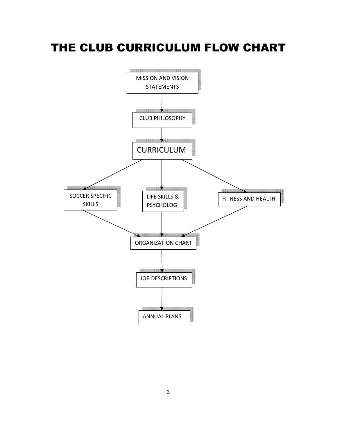## THE CLUB CURRICULUM FLOW CHART

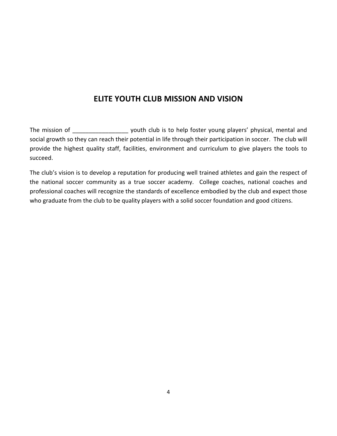## ELITE YOUTH CLUB MISSION AND VISION

The mission of \_\_\_\_\_\_\_\_\_\_\_\_\_\_\_\_\_\_\_\_ youth club is to help foster young players' physical, mental and social growth so they can reach their potential in life through their participation in soccer. The club will provide the highest quality staff, facilities, environment and curriculum to give players the tools to succeed.

The club's vision is to develop a reputation for producing well trained athletes and gain the respect of the national soccer community as a true soccer academy. College coaches, national coaches and professional coaches will recognize the standards of excellence embodied by the club and expect those who graduate from the club to be quality players with a solid soccer foundation and good citizens.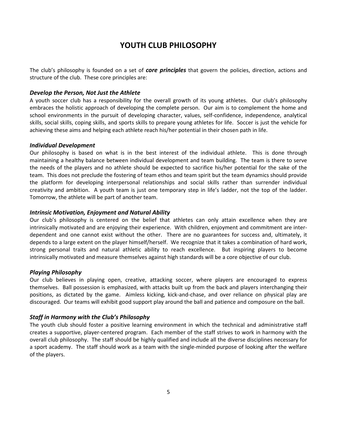## YOUTH CLUB PHILOSOPHY

The club's philosophy is founded on a set of **core principles** that govern the policies, direction, actions and structure of the club. These core principles are:

#### Develop the Person, Not Just the Athlete

A youth soccer club has a responsibility for the overall growth of its young athletes. Our club's philosophy embraces the holistic approach of developing the complete person. Our aim is to complement the home and school environments in the pursuit of developing character, values, self-confidence, independence, analytical skills, social skills, coping skills, and sports skills to prepare young athletes for life. Soccer is just the vehicle for achieving these aims and helping each athlete reach his/her potential in their chosen path in life.

#### Individual Development

Our philosophy is based on what is in the best interest of the individual athlete. This is done through maintaining a healthy balance between individual development and team building. The team is there to serve the needs of the players and no athlete should be expected to sacrifice his/her potential for the sake of the team. This does not preclude the fostering of team ethos and team spirit but the team dynamics should provide the platform for developing interpersonal relationships and social skills rather than surrender individual creativity and ambition. A youth team is just one temporary step in life's ladder, not the top of the ladder. Tomorrow, the athlete will be part of another team.

#### Intrinsic Motivation, Enjoyment and Natural Ability

Our club's philosophy is centered on the belief that athletes can only attain excellence when they are intrinsically motivated and are enjoying their experience. With children, enjoyment and commitment are interdependent and one cannot exist without the other. There are no guarantees for success and, ultimately, it depends to a large extent on the player himself/herself. We recognize that it takes a combination of hard work, strong personal traits and natural athletic ability to reach excellence. But inspiring players to become intrinsically motivated and measure themselves against high standards will be a core objective of our club.

#### Playing Philosophy

Our club believes in playing open, creative, attacking soccer, where players are encouraged to express themselves. Ball possession is emphasized, with attacks built up from the back and players interchanging their positions, as dictated by the game. Aimless kicking, kick-and-chase, and over reliance on physical play are discouraged. Our teams will exhibit good support play around the ball and patience and composure on the ball.

#### Staff in Harmony with the Club's Philosophy

The youth club should foster a positive learning environment in which the technical and administrative staff creates a supportive, player-centered program. Each member of the staff strives to work in harmony with the overall club philosophy. The staff should be highly qualified and include all the diverse disciplines necessary for a sport academy. The staff should work as a team with the single-minded purpose of looking after the welfare of the players.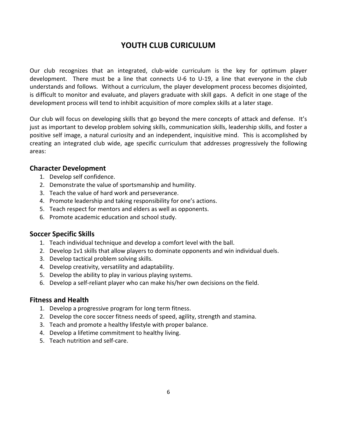## YOUTH CLUB CURICULUM

Our club recognizes that an integrated, club-wide curriculum is the key for optimum player development. There must be a line that connects U-6 to U-19, a line that everyone in the club understands and follows. Without a curriculum, the player development process becomes disjointed, is difficult to monitor and evaluate, and players graduate with skill gaps. A deficit in one stage of the development process will tend to inhibit acquisition of more complex skills at a later stage.

Our club will focus on developing skills that go beyond the mere concepts of attack and defense. It's just as important to develop problem solving skills, communication skills, leadership skills, and foster a positive self image, a natural curiosity and an independent, inquisitive mind. This is accomplished by creating an integrated club wide, age specific curriculum that addresses progressively the following areas:

### Character Development

- 1. Develop self confidence.
- 2. Demonstrate the value of sportsmanship and humility.
- 3. Teach the value of hard work and perseverance.
- 4. Promote leadership and taking responsibility for one's actions.
- 5. Teach respect for mentors and elders as well as opponents.
- 6. Promote academic education and school study.

## Soccer Specific Skills

- 1. Teach individual technique and develop a comfort level with the ball.
- 2. Develop 1v1 skills that allow players to dominate opponents and win individual duels.
- 3. Develop tactical problem solving skills.
- 4. Develop creativity, versatility and adaptability.
- 5. Develop the ability to play in various playing systems.
- 6. Develop a self-reliant player who can make his/her own decisions on the field.

## Fitness and Health

- 1. Develop a progressive program for long term fitness.
- 2. Develop the core soccer fitness needs of speed, agility, strength and stamina.
- 3. Teach and promote a healthy lifestyle with proper balance.
- 4. Develop a lifetime commitment to healthy living.
- 5. Teach nutrition and self-care.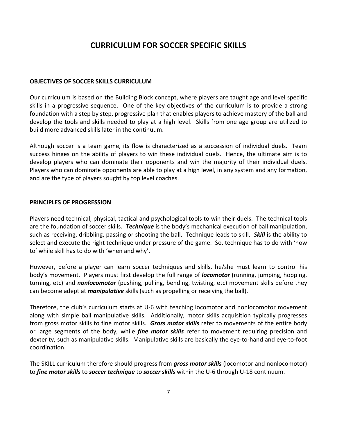## CURRICULUM FOR SOCCER SPECIFIC SKILLS

#### OBJECTIVES OF SOCCER SKILLS CURRICULUM

Our curriculum is based on the Building Block concept, where players are taught age and level specific skills in a progressive sequence. One of the key objectives of the curriculum is to provide a strong foundation with a step by step, progressive plan that enables players to achieve mastery of the ball and develop the tools and skills needed to play at a high level. Skills from one age group are utilized to build more advanced skills later in the continuum.

Although soccer is a team game, its flow is characterized as a succession of individual duels. Team success hinges on the ability of players to win these individual duels. Hence, the ultimate aim is to develop players who can dominate their opponents and win the majority of their individual duels. Players who can dominate opponents are able to play at a high level, in any system and any formation, and are the type of players sought by top level coaches.

#### PRINCIPLES OF PROGRESSION

Players need technical, physical, tactical and psychological tools to win their duels. The technical tools are the foundation of soccer skills. Technique is the body's mechanical execution of ball manipulation, such as receiving, dribbling, passing or shooting the ball. Technique leads to skill. **Skill** is the ability to select and execute the right technique under pressure of the game. So, technique has to do with 'how to' while skill has to do with 'when and why'.

However, before a player can learn soccer techniques and skills, he/she must learn to control his body's movement. Players must first develop the full range of locomotor (running, jumping, hopping, turning, etc) and *nonlocomotor* (pushing, pulling, bending, twisting, etc) movement skills before they can become adept at *manipulative* skills (such as propelling or receiving the ball).

Therefore, the club's curriculum starts at U-6 with teaching locomotor and nonlocomotor movement along with simple ball manipulative skills. Additionally, motor skills acquisition typically progresses from gross motor skills to fine motor skills. Gross motor skills refer to movements of the entire body or large segments of the body, while *fine motor skills* refer to movement requiring precision and dexterity, such as manipulative skills. Manipulative skills are basically the eye-to-hand and eye-to-foot coordination.

The SKILL curriculum therefore should progress from *gross motor skills* (locomotor and nonlocomotor) to *fine motor skills* to *soccer technique* to *soccer skills* within the U-6 through U-18 continuum.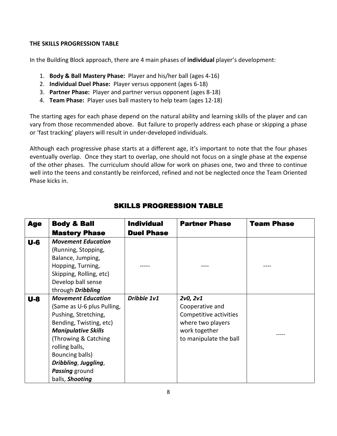#### THE SKILLS PROGRESSION TABLE

In the Building Block approach, there are 4 main phases of individual player's development:

- 1. Body & Ball Mastery Phase: Player and his/her ball (ages 4-16)
- 2. Individual Duel Phase: Player versus opponent (ages 6-18)
- 3. Partner Phase: Player and partner versus opponent (ages 8-18)
- 4. Team Phase: Player uses ball mastery to help team (ages 12-18)

The starting ages for each phase depend on the natural ability and learning skills of the player and can vary from those recommended above. But failure to properly address each phase or skipping a phase or 'fast tracking' players will result in under-developed individuals.

Although each progressive phase starts at a different age, it's important to note that the four phases eventually overlap. Once they start to overlap, one should not focus on a single phase at the expense of the other phases. The curriculum should allow for work on phases one, two and three to continue well into the teens and constantly be reinforced, refined and not be neglected once the Team Oriented Phase kicks in.

| <b>Age</b> | <b>Body &amp; Ball</b>                                                                                                                                                                                                                                                     | <b>Individual</b> | <b>Partner Phase</b>                                                                                                  | <b>Team Phase</b> |
|------------|----------------------------------------------------------------------------------------------------------------------------------------------------------------------------------------------------------------------------------------------------------------------------|-------------------|-----------------------------------------------------------------------------------------------------------------------|-------------------|
|            | <b>Mastery Phase</b>                                                                                                                                                                                                                                                       | <b>Duel Phase</b> |                                                                                                                       |                   |
| $U-6$      | <b>Movement Education</b><br>(Running, Stopping,<br>Balance, Jumping,<br>Hopping, Turning,<br>Skipping, Rolling, etc)<br>Develop ball sense<br>through Dribbling                                                                                                           |                   |                                                                                                                       |                   |
| $U-8$      | <b>Movement Education</b><br>(Same as U-6 plus Pulling,<br>Pushing, Stretching,<br>Bending, Twisting, etc)<br><b>Manipulative Skills</b><br>(Throwing & Catching)<br>rolling balls,<br>Bouncing balls)<br>Dribbling, Juggling,<br><b>Passing</b> ground<br>balls, Shooting | Dribble 1v1       | 2v0, 2v1<br>Cooperative and<br>Competitive activities<br>where two players<br>work together<br>to manipulate the ball |                   |

## **SKILLS PROGRESSION TABLE**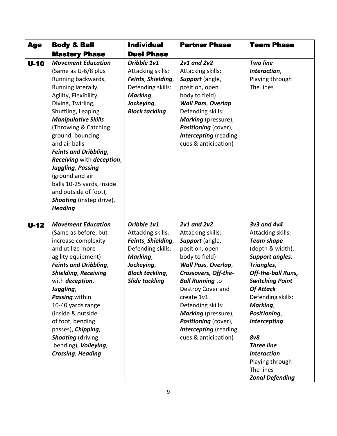| <b>Age</b> | <b>Body &amp; Ball</b>                                                                                                                                                                                                                                                                                                                                                                                                                                                             | <b>Individual</b>                                                                                                                                        | <b>Partner Phase</b>                                                                                                                                                                                                                                                                                                                                  | <b>Team Phase</b>                                                                                                                                                                                                                                                                                                                                                  |
|------------|------------------------------------------------------------------------------------------------------------------------------------------------------------------------------------------------------------------------------------------------------------------------------------------------------------------------------------------------------------------------------------------------------------------------------------------------------------------------------------|----------------------------------------------------------------------------------------------------------------------------------------------------------|-------------------------------------------------------------------------------------------------------------------------------------------------------------------------------------------------------------------------------------------------------------------------------------------------------------------------------------------------------|--------------------------------------------------------------------------------------------------------------------------------------------------------------------------------------------------------------------------------------------------------------------------------------------------------------------------------------------------------------------|
|            | <b>Mastery Phase</b>                                                                                                                                                                                                                                                                                                                                                                                                                                                               | <b>Duel Phase</b>                                                                                                                                        |                                                                                                                                                                                                                                                                                                                                                       |                                                                                                                                                                                                                                                                                                                                                                    |
| $U-10$     | <b>Movement Education</b><br>(Same as U-6/8 plus<br>Running backwards,<br>Running laterally,<br>Agility, Flexibility,<br>Diving, Twirling,<br>Shuffling, Leaping<br><b>Manipulative Skills</b><br>(Throwing & Catching<br>ground, bouncing<br>and air balls<br><b>Feints and Dribbling,</b><br>Receiving with deception,<br><b>Juggling, Passing</b><br>(ground and air<br>balls 10-25 yards, inside<br>and outside of foot),<br><b>Shooting</b> (instep drive),<br><b>Heading</b> | Dribble 1v1<br>Attacking skills:<br>Feints, Shielding,<br>Defending skills:<br>Marking,<br>Jockeying,<br><b>Block tackling</b>                           | <b>2v1 and 2v2</b><br>Attacking skills:<br>Support (angle,<br>position, open<br>body to field)<br><b>Wall Pass, Overlap</b><br>Defending skills:<br><b>Marking</b> (pressure),<br>Positioning (cover),<br><b>Intercepting</b> (reading<br>cues & anticipation)                                                                                        | <b>Two line</b><br>Interaction,<br>Playing through<br>The lines                                                                                                                                                                                                                                                                                                    |
| $U-12$     | <b>Movement Education</b><br>(Same as before, but<br>increase complexity<br>and utilize more<br>agility equipment)<br><b>Feints and Dribbling,</b><br><b>Shielding, Receiving</b><br>with <i>deception</i> ,<br>Juggling,<br>Passing within<br>10-40 yards range<br>(inside & outside<br>of foot, bending<br>passes), Chipping,<br>Shooting (driving,<br>bending), Volleying,<br><b>Crossing, Heading</b>                                                                          | Dribble 1v1<br>Attacking skills:<br>Feints, Shielding,<br>Defending skills:<br>Marking,<br>Jockeying,<br><b>Block tackling,</b><br><b>Slide tackling</b> | <b>2v1 and 2v2</b><br>Attacking skills:<br>Support (angle,<br>position, open<br>body to field)<br><b>Wall Pass, Overlap,</b><br>Crossovers, Off-the-<br><b>Ball Running to</b><br>Destroy Cover and<br>create 1v1.<br>Defending skills:<br><b>Marking</b> (pressure),<br>Positioning (cover),<br><b>Intercepting</b> (reading<br>cues & anticipation) | 3v3 and 4v4<br>Attacking skills:<br><b>Team shape</b><br>(depth & width),<br>Support angles,<br>Triangles,<br>Off-the-ball Runs,<br><b>Switching Point</b><br><b>Of Attack</b><br>Defending skills:<br>Marking,<br>Positioning,<br>Intercepting<br><b>8v8</b><br><b>Three line</b><br><b>Interaction</b><br>Playing through<br>The lines<br><b>Zonal Defending</b> |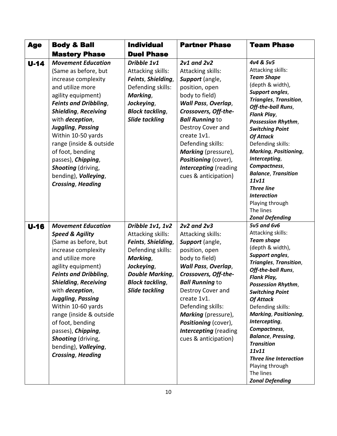| <b>Age</b> | <b>Body &amp; Ball</b>                                                                                                                                                                                                                                                                                                                                                                                                                      | <b>Individual</b>                                                                                                                                                                | <b>Partner Phase</b>                                                                                                                                                                                                                                                                                                                                  | <b>Team Phase</b>                                                                                                                                                                                                                                                                                                                                                                                                                                                                                              |
|------------|---------------------------------------------------------------------------------------------------------------------------------------------------------------------------------------------------------------------------------------------------------------------------------------------------------------------------------------------------------------------------------------------------------------------------------------------|----------------------------------------------------------------------------------------------------------------------------------------------------------------------------------|-------------------------------------------------------------------------------------------------------------------------------------------------------------------------------------------------------------------------------------------------------------------------------------------------------------------------------------------------------|----------------------------------------------------------------------------------------------------------------------------------------------------------------------------------------------------------------------------------------------------------------------------------------------------------------------------------------------------------------------------------------------------------------------------------------------------------------------------------------------------------------|
|            | <b>Mastery Phase</b>                                                                                                                                                                                                                                                                                                                                                                                                                        | <b>Duel Phase</b>                                                                                                                                                                |                                                                                                                                                                                                                                                                                                                                                       |                                                                                                                                                                                                                                                                                                                                                                                                                                                                                                                |
| $U-14$     | <b>Movement Education</b><br>(Same as before, but<br>increase complexity<br>and utilize more<br>agility equipment)<br><b>Feints and Dribbling,</b><br><b>Shielding, Receiving</b><br>with <i>deception</i> ,<br>Juggling, Passing<br>Within 10-50 yards<br>range (inside & outside<br>of foot, bending<br>passes), Chipping,<br>Shooting (driving,<br>bending), Volleying,<br><b>Crossing, Heading</b>                                      | Dribble 1v1<br>Attacking skills:<br>Feints, Shielding,<br>Defending skills:<br>Marking,<br>Jockeying,<br><b>Block tackling,</b><br><b>Slide tackling</b>                         | <b>2v1 and 2v2</b><br>Attacking skills:<br>Support (angle,<br>position, open<br>body to field)<br><b>Wall Pass, Overlap,</b><br>Crossovers, Off-the-<br><b>Ball Running to</b><br>Destroy Cover and<br>create 1v1.<br>Defending skills:<br><b>Marking</b> (pressure),<br>Positioning (cover),<br><b>Intercepting</b> (reading<br>cues & anticipation) | 4v4 & 5v5<br>Attacking skills:<br><b>Team Shape</b><br>(depth & width),<br><b>Support angles,</b><br><b>Triangles, Transition,</b><br>Off-the-ball Runs,<br><b>Flank Play,</b><br>Possession Rhythm,<br><b>Switching Point</b><br><b>Of Attack</b><br>Defending skills:<br><b>Marking, Positioning,</b><br>Intercepting,<br>Compactness,<br><b>Balance, Transition</b><br>11v11<br><b>Three line</b><br><b>Interaction</b><br>Playing through<br>The lines<br><b>Zonal Defending</b>                           |
| $U-16$     | <b>Movement Education</b><br><b>Speed &amp; Agility</b><br>(Same as before, but<br>increase complexity<br>and utilize more<br>agility equipment)<br><b>Feints and Dribbling,</b><br><b>Shielding, Receiving</b><br>with <i>deception</i> ,<br><b>Juggling, Passing</b><br>Within 10-60 yards<br>range (inside & outside<br>of foot, bending<br>passes), Chipping,<br>Shooting (driving,<br>bending), Volleying,<br><b>Crossing, Heading</b> | Dribble 1v1, 1v2<br>Attacking skills:<br>Feints, Shielding,<br>Defending skills:<br>Marking,<br>Jockeying,<br><b>Double Marking,</b><br><b>Block tackling,</b><br>Slide tackling | <b>2v2 and 2v3</b><br>Attacking skills:<br>Support (angle,<br>position, open<br>body to field)<br><b>Wall Pass, Overlap,</b><br>Crossovers, Off-the-<br><b>Ball Running to</b><br>Destroy Cover and<br>create 1v1.<br>Defending skills:<br>Marking (pressure),<br>Positioning (cover),<br><b>Intercepting</b> (reading<br>cues & anticipation)        | <b>5v5 and 6v6</b><br>Attacking skills:<br><b>Team shape</b><br>(depth & width),<br><b>Support angles,</b><br><b>Triangles, Transition,</b><br>Off-the-ball Runs,<br><b>Flank Play,</b><br><b>Possession Rhythm,</b><br><b>Switching Point</b><br><b>Of Attack</b><br>Defending skills:<br><b>Marking, Positioning,</b><br>Intercepting,<br>Compactness,<br><b>Balance, Pressing,</b><br><b>Transition</b><br>11v11<br><b>Three line Interaction</b><br>Playing through<br>The lines<br><b>Zonal Defending</b> |